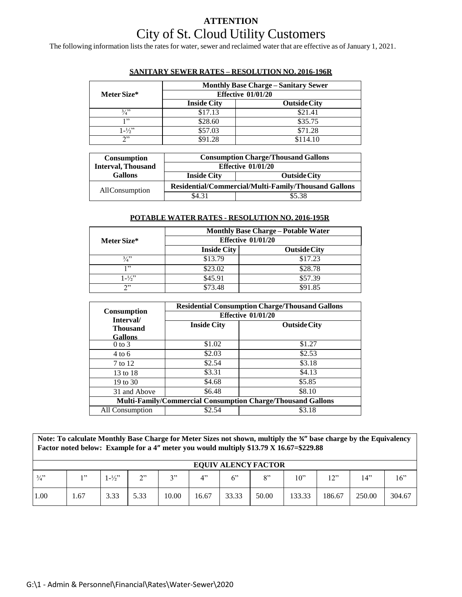# **ATTENTION** City of St. Cloud Utility Customers

The following information lists the rates for water, sewer and reclaimed water that are effective as of January 1, 2021.

|                   | <b>Monthly Base Charge – Sanitary Sewer</b> |                     |  |  |  |  |
|-------------------|---------------------------------------------|---------------------|--|--|--|--|
| Meter Size*       | Effective $01/01/20$                        |                     |  |  |  |  |
|                   | <b>Inside City</b>                          | <b>Outside City</b> |  |  |  |  |
| 3/3               | \$17.13                                     | \$21.41             |  |  |  |  |
| 1, 22             | \$28.60                                     | \$35.75             |  |  |  |  |
| $1 - \frac{1}{2}$ | \$57.03                                     | \$71.28             |  |  |  |  |
| າ"                | \$91.28                                     | \$114.10            |  |  |  |  |

#### **SANITARY SEWER RATES – RESOLUTION NO. 2016-196R**

| <b>Consumption</b>        | <b>Consumption Charge/Thousand Gallons</b>           |                      |  |  |
|---------------------------|------------------------------------------------------|----------------------|--|--|
| <b>Interval, Thousand</b> |                                                      | Effective $01/01/20$ |  |  |
| <b>Gallons</b>            | <b>Inside City</b><br><b>Outside City</b>            |                      |  |  |
| AllConsumption            | Residential/Commercial/Multi-Family/Thousand Gallons |                      |  |  |
|                           | \$5.38<br>\$4 31                                     |                      |  |  |

#### **POTABLE WATER RATES - RESOLUTION NO. 2016-195R**

|                   | <b>Monthly Base Charge – Potable Water</b><br>Effective $01/01/20$ |                     |  |  |  |  |  |
|-------------------|--------------------------------------------------------------------|---------------------|--|--|--|--|--|
| Meter Size*       |                                                                    |                     |  |  |  |  |  |
|                   | <b>Inside City</b>                                                 | <b>Outside City</b> |  |  |  |  |  |
| $\frac{3}{4}$     | \$13.79                                                            | \$17.23             |  |  |  |  |  |
| 1, 22             | \$23.02                                                            | \$28.78             |  |  |  |  |  |
| $1 - \frac{1}{2}$ | \$45.91                                                            | \$57.39             |  |  |  |  |  |
| 2"                | \$73.48                                                            | \$91.85             |  |  |  |  |  |

|                                                                    | <b>Residential Consumption Charge/Thousand Gallons</b> |                     |  |  |  |  |  |
|--------------------------------------------------------------------|--------------------------------------------------------|---------------------|--|--|--|--|--|
| <b>Consumption</b><br>Interval/                                    | Effective 01/01/20                                     |                     |  |  |  |  |  |
| <b>Thousand</b>                                                    | <b>Inside City</b>                                     | <b>Outside City</b> |  |  |  |  |  |
| <b>Gallons</b>                                                     |                                                        |                     |  |  |  |  |  |
| $0$ to $3$                                                         | \$1.02                                                 | \$1.27              |  |  |  |  |  |
| $4 \text{ to } 6$                                                  | \$2.03                                                 | \$2.53              |  |  |  |  |  |
| 7 to 12                                                            | \$2.54                                                 | \$3.18              |  |  |  |  |  |
| 13 to 18                                                           | \$3.31                                                 | \$4.13              |  |  |  |  |  |
| 19 to 30                                                           | \$4.68                                                 | \$5.85              |  |  |  |  |  |
| 31 and Above                                                       | \$6.48                                                 | \$8.10              |  |  |  |  |  |
| <b>Multi-Family/Commercial Consumption Charge/Thousand Gallons</b> |                                                        |                     |  |  |  |  |  |
| All Consumption                                                    | \$2.54                                                 | \$3.18              |  |  |  |  |  |

**Note: To calculate Monthly Base Charge for Meter Sizes not shown, multiply the ¾" base charge by the Equivalency Factor noted below: Example for a 4" meter you would multiply \$13.79 X 16.67=\$229.88**

|               | <b>EQUIV ALENCY FACTOR</b> |                 |               |       |                                   |       |       |        |            |        |        |
|---------------|----------------------------|-----------------|---------------|-------|-----------------------------------|-------|-------|--------|------------|--------|--------|
| $\frac{3}{4}$ | 1, 22                      | $1-\frac{1}{2}$ | $\gamma$<br>∸ | 2, 3  | $\mathbf{\Lambda}^{\prime\prime}$ | 6"    | 8"    | 10"    | ייר 1<br>∸ | 14"    | 16"    |
| 1.00          | . . 67                     | 3.33            | 5.33          | 10.00 | 16.67                             | 33.33 | 50.00 | 133.33 | 186.67     | 250.00 | 304.67 |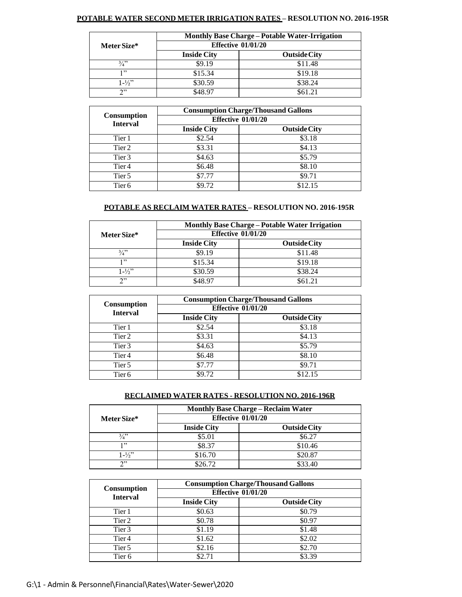## **POTABLE WATER SECOND METER IRRIGATION RATES – RESOLUTION NO. 2016-195R**

|                   | <b>Monthly Base Charge – Potable Water-Irrigation</b> |                     |  |  |  |  |  |
|-------------------|-------------------------------------------------------|---------------------|--|--|--|--|--|
| Meter Size*       | Effective $01/01/20$                                  |                     |  |  |  |  |  |
|                   | <b>Inside City</b>                                    | <b>Outside City</b> |  |  |  |  |  |
| 3/2               | \$9.19                                                | \$11.48             |  |  |  |  |  |
| י י               | \$15.34                                               | \$19.18             |  |  |  |  |  |
| $1 - \frac{1}{2}$ | \$30.59                                               | \$38.24             |  |  |  |  |  |
| າ"                | \$48.97                                               | \$61.21             |  |  |  |  |  |

|                                       | <b>Consumption Charge/Thousand Gallons</b><br><b>Effective 01/01/20</b> |                     |  |  |  |  |
|---------------------------------------|-------------------------------------------------------------------------|---------------------|--|--|--|--|
| <b>Consumption</b><br><b>Interval</b> |                                                                         |                     |  |  |  |  |
|                                       | <b>Inside City</b>                                                      | <b>Outside City</b> |  |  |  |  |
| Tier 1                                | \$2.54                                                                  | \$3.18              |  |  |  |  |
| Tier 2                                | \$3.31                                                                  | \$4.13              |  |  |  |  |
| Tier 3                                | \$4.63                                                                  | \$5.79              |  |  |  |  |
| Tier <sub>4</sub>                     | \$6.48                                                                  | \$8.10              |  |  |  |  |
| Tier 5                                | \$7.77                                                                  | \$9.71              |  |  |  |  |
| Tier <sub>6</sub>                     | \$9.72                                                                  | \$12.15             |  |  |  |  |

## **POTABLE AS RECLAIM WATER RATES – RESOLUTION NO. 2016-195R**

|                   | <b>Monthly Base Charge – Potable Water Irrigation</b><br>Effective 01/01/20 |                     |  |  |  |  |
|-------------------|-----------------------------------------------------------------------------|---------------------|--|--|--|--|
| Meter Size*       |                                                                             |                     |  |  |  |  |
|                   | <b>Inside City</b>                                                          | <b>Outside City</b> |  |  |  |  |
| 3/2               | \$9.19                                                                      | \$11.48             |  |  |  |  |
| 1"                | \$15.34                                                                     | \$19.18             |  |  |  |  |
| $1 - \frac{1}{2}$ | \$30.59                                                                     | \$38.24             |  |  |  |  |
| $\mathcal{D}$     | \$48.97                                                                     | \$61.21             |  |  |  |  |

|                                       | <b>Consumption Charge/Thousand Gallons</b><br><b>Effective 01/01/20</b> |                     |  |  |  |  |
|---------------------------------------|-------------------------------------------------------------------------|---------------------|--|--|--|--|
| <b>Consumption</b><br><b>Interval</b> |                                                                         |                     |  |  |  |  |
|                                       | <b>Inside City</b>                                                      | <b>Outside City</b> |  |  |  |  |
| Tier 1                                | \$2.54                                                                  | \$3.18              |  |  |  |  |
| Tier 2                                | \$3.31                                                                  | \$4.13              |  |  |  |  |
| Tier <sub>3</sub>                     | \$4.63                                                                  | \$5.79              |  |  |  |  |
| Tier <sub>4</sub>                     | \$6.48                                                                  | \$8.10              |  |  |  |  |
| Tier 5                                | \$7.77                                                                  | \$9.71              |  |  |  |  |
| Tier <sub>6</sub>                     | \$9.72                                                                  | \$12.15             |  |  |  |  |

## **RECLAIMED WATER RATES - RESOLUTION NO. 2016-196R**

|                   | <b>Monthly Base Charge – Reclaim Water</b><br>Effective $01/01/20$ |                     |  |  |  |  |
|-------------------|--------------------------------------------------------------------|---------------------|--|--|--|--|
| Meter Size*       |                                                                    |                     |  |  |  |  |
|                   | <b>Inside City</b>                                                 | <b>Outside City</b> |  |  |  |  |
| 3/4"              | \$5.01                                                             | \$6.27              |  |  |  |  |
| 1, 99             | \$8.37                                                             | \$10.46             |  |  |  |  |
| $1 - \frac{1}{2}$ | \$16.70                                                            | \$20.87             |  |  |  |  |
| $\mathcal{D}$     | \$26.72                                                            | \$33.40             |  |  |  |  |

|                                       | <b>Consumption Charge/Thousand Gallons</b><br><b>Effective 01/01/20</b> |                     |  |  |  |  |
|---------------------------------------|-------------------------------------------------------------------------|---------------------|--|--|--|--|
| <b>Consumption</b><br><b>Interval</b> |                                                                         |                     |  |  |  |  |
|                                       | <b>Inside City</b>                                                      | <b>Outside City</b> |  |  |  |  |
| Tier 1                                | \$0.63                                                                  | \$0.79              |  |  |  |  |
| Tier 2                                | \$0.78                                                                  | \$0.97              |  |  |  |  |
| Tier 3                                | \$1.19                                                                  | \$1.48              |  |  |  |  |
| Tier <sub>4</sub>                     | \$1.62                                                                  | \$2.02              |  |  |  |  |
| Tier 5                                | \$2.16                                                                  | \$2.70              |  |  |  |  |
| Tier <sub>6</sub>                     | \$2.71                                                                  | \$3.39              |  |  |  |  |